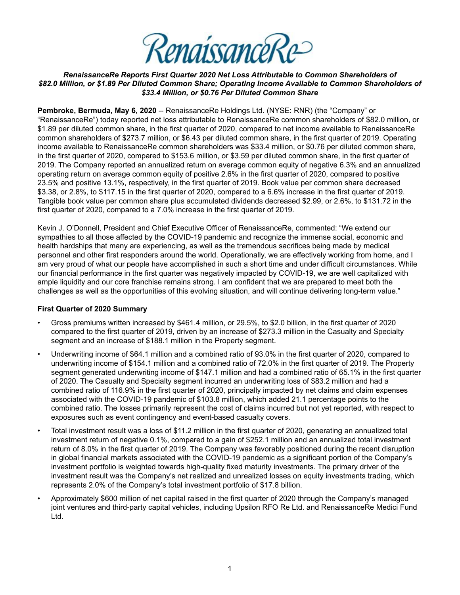

# *RenaissanceRe Reports First Quarter 2020 Net Loss Attributable to Common Shareholders of \$82.0 Million, or \$1.89 Per Diluted Common Share; Operating Income Available to Common Shareholders of \$33.4 Million, or \$0.76 Per Diluted Common Share*

**Pembroke, Bermuda, May 6, 2020** -- RenaissanceRe Holdings Ltd. (NYSE: RNR) (the "Company" or "RenaissanceRe") today reported net loss attributable to RenaissanceRe common shareholders of \$82.0 million, or \$1.89 per diluted common share, in the first quarter of 2020, compared to net income available to RenaissanceRe common shareholders of \$273.7 million, or \$6.43 per diluted common share, in the first quarter of 2019. Operating income available to RenaissanceRe common shareholders was \$33.4 million, or \$0.76 per diluted common share, in the first quarter of 2020, compared to \$153.6 million, or \$3.59 per diluted common share, in the first quarter of 2019. The Company reported an annualized return on average common equity of negative 6.3% and an annualized operating return on average common equity of positive 2.6% in the first quarter of 2020, compared to positive 23.5% and positive 13.1%, respectively, in the first quarter of 2019. Book value per common share decreased \$3.38, or 2.8%, to \$117.15 in the first quarter of 2020, compared to a 6.6% increase in the first quarter of 2019. Tangible book value per common share plus accumulated dividends decreased \$2.99, or 2.6%, to \$131.72 in the first quarter of 2020, compared to a 7.0% increase in the first quarter of 2019.

Kevin J. O'Donnell, President and Chief Executive Officer of RenaissanceRe, commented: "We extend our sympathies to all those affected by the COVID-19 pandemic and recognize the immense social, economic and health hardships that many are experiencing, as well as the tremendous sacrifices being made by medical personnel and other first responders around the world. Operationally, we are effectively working from home, and I am very proud of what our people have accomplished in such a short time and under difficult circumstances. While our financial performance in the first quarter was negatively impacted by COVID-19, we are well capitalized with ample liquidity and our core franchise remains strong. I am confident that we are prepared to meet both the challenges as well as the opportunities of this evolving situation, and will continue delivering long-term value."

#### **First Quarter of 2020 Summary**

- Gross premiums written increased by \$461.4 million, or 29.5%, to \$2.0 billion, in the first quarter of 2020 compared to the first quarter of 2019, driven by an increase of \$273.3 million in the Casualty and Specialty segment and an increase of \$188.1 million in the Property segment.
- Underwriting income of \$64.1 million and a combined ratio of 93.0% in the first quarter of 2020, compared to underwriting income of \$154.1 million and a combined ratio of 72.0% in the first quarter of 2019. The Property segment generated underwriting income of \$147.1 million and had a combined ratio of 65.1% in the first quarter of 2020. The Casualty and Specialty segment incurred an underwriting loss of \$83.2 million and had a combined ratio of 116.9% in the first quarter of 2020, principally impacted by net claims and claim expenses associated with the COVID-19 pandemic of \$103.8 million, which added 21.1 percentage points to the combined ratio. The losses primarily represent the cost of claims incurred but not yet reported, with respect to exposures such as event contingency and event-based casualty covers.
- Total investment result was a loss of \$11.2 million in the first quarter of 2020, generating an annualized total investment return of negative 0.1%, compared to a gain of \$252.1 million and an annualized total investment return of 8.0% in the first quarter of 2019. The Company was favorably positioned during the recent disruption in global financial markets associated with the COVID-19 pandemic as a significant portion of the Company's investment portfolio is weighted towards high-quality fixed maturity investments. The primary driver of the investment result was the Company's net realized and unrealized losses on equity investments trading, which represents 2.0% of the Company's total investment portfolio of \$17.8 billion.
- Approximately \$600 million of net capital raised in the first quarter of 2020 through the Company's managed joint ventures and third-party capital vehicles, including Upsilon RFO Re Ltd. and RenaissanceRe Medici Fund Ltd.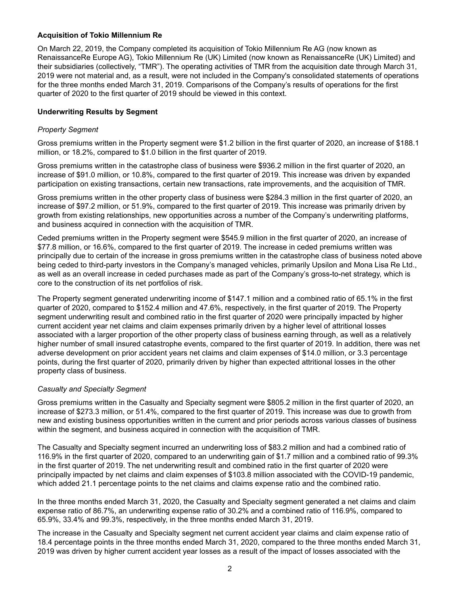# **Acquisition of Tokio Millennium Re**

On March 22, 2019, the Company completed its acquisition of Tokio Millennium Re AG (now known as RenaissanceRe Europe AG), Tokio Millennium Re (UK) Limited (now known as RenaissanceRe (UK) Limited) and their subsidiaries (collectively, "TMR"). The operating activities of TMR from the acquisition date through March 31, 2019 were not material and, as a result, were not included in the Company's consolidated statements of operations for the three months ended March 31, 2019. Comparisons of the Company's results of operations for the first quarter of 2020 to the first quarter of 2019 should be viewed in this context.

# **Underwriting Results by Segment**

# *Property Segment*

Gross premiums written in the Property segment were \$1.2 billion in the first quarter of 2020, an increase of \$188.1 million, or 18.2%, compared to \$1.0 billion in the first quarter of 2019.

Gross premiums written in the catastrophe class of business were \$936.2 million in the first quarter of 2020, an increase of \$91.0 million, or 10.8%, compared to the first quarter of 2019. This increase was driven by expanded participation on existing transactions, certain new transactions, rate improvements, and the acquisition of TMR.

Gross premiums written in the other property class of business were \$284.3 million in the first quarter of 2020, an increase of \$97.2 million, or 51.9%, compared to the first quarter of 2019. This increase was primarily driven by growth from existing relationships, new opportunities across a number of the Company's underwriting platforms, and business acquired in connection with the acquisition of TMR.

Ceded premiums written in the Property segment were \$545.9 million in the first quarter of 2020, an increase of \$77.8 million, or 16.6%, compared to the first quarter of 2019. The increase in ceded premiums written was principally due to certain of the increase in gross premiums written in the catastrophe class of business noted above being ceded to third-party investors in the Company's managed vehicles, primarily Upsilon and Mona Lisa Re Ltd., as well as an overall increase in ceded purchases made as part of the Company's gross-to-net strategy, which is core to the construction of its net portfolios of risk.

The Property segment generated underwriting income of \$147.1 million and a combined ratio of 65.1% in the first quarter of 2020, compared to \$152.4 million and 47.6%, respectively, in the first quarter of 2019. The Property segment underwriting result and combined ratio in the first quarter of 2020 were principally impacted by higher current accident year net claims and claim expenses primarily driven by a higher level of attritional losses associated with a larger proportion of the other property class of business earning through, as well as a relatively higher number of small insured catastrophe events, compared to the first quarter of 2019. In addition, there was net adverse development on prior accident years net claims and claim expenses of \$14.0 million, or 3.3 percentage points, during the first quarter of 2020, primarily driven by higher than expected attritional losses in the other property class of business.

#### *Casualty and Specialty Segment*

Gross premiums written in the Casualty and Specialty segment were \$805.2 million in the first quarter of 2020, an increase of \$273.3 million, or 51.4%, compared to the first quarter of 2019. This increase was due to growth from new and existing business opportunities written in the current and prior periods across various classes of business within the segment, and business acquired in connection with the acquisition of TMR.

The Casualty and Specialty segment incurred an underwriting loss of \$83.2 million and had a combined ratio of 116.9% in the first quarter of 2020, compared to an underwriting gain of \$1.7 million and a combined ratio of 99.3% in the first quarter of 2019. The net underwriting result and combined ratio in the first quarter of 2020 were principally impacted by net claims and claim expenses of \$103.8 million associated with the COVID-19 pandemic, which added 21.1 percentage points to the net claims and claims expense ratio and the combined ratio.

In the three months ended March 31, 2020, the Casualty and Specialty segment generated a net claims and claim expense ratio of 86.7%, an underwriting expense ratio of 30.2% and a combined ratio of 116.9%, compared to 65.9%, 33.4% and 99.3%, respectively, in the three months ended March 31, 2019.

The increase in the Casualty and Specialty segment net current accident year claims and claim expense ratio of 18.4 percentage points in the three months ended March 31, 2020, compared to the three months ended March 31, 2019 was driven by higher current accident year losses as a result of the impact of losses associated with the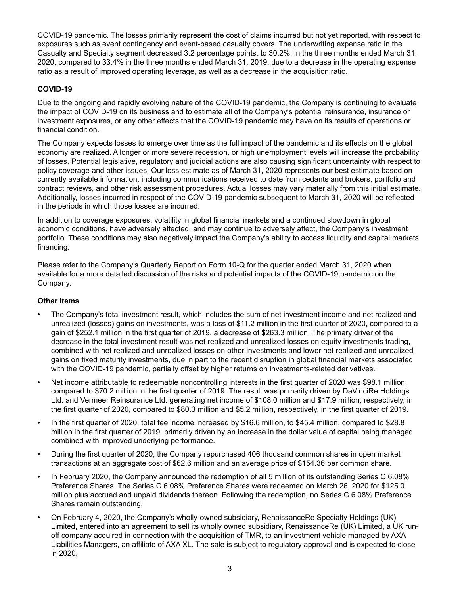COVID-19 pandemic. The losses primarily represent the cost of claims incurred but not yet reported, with respect to exposures such as event contingency and event-based casualty covers. The underwriting expense ratio in the Casualty and Specialty segment decreased 3.2 percentage points, to 30.2%, in the three months ended March 31, 2020, compared to 33.4% in the three months ended March 31, 2019, due to a decrease in the operating expense ratio as a result of improved operating leverage, as well as a decrease in the acquisition ratio.

# **COVID-19**

Due to the ongoing and rapidly evolving nature of the COVID-19 pandemic, the Company is continuing to evaluate the impact of COVID-19 on its business and to estimate all of the Company's potential reinsurance, insurance or investment exposures, or any other effects that the COVID-19 pandemic may have on its results of operations or financial condition.

The Company expects losses to emerge over time as the full impact of the pandemic and its effects on the global economy are realized. A longer or more severe recession, or high unemployment levels will increase the probability of losses. Potential legislative, regulatory and judicial actions are also causing significant uncertainty with respect to policy coverage and other issues. Our loss estimate as of March 31, 2020 represents our best estimate based on currently available information, including communications received to date from cedants and brokers, portfolio and contract reviews, and other risk assessment procedures. Actual losses may vary materially from this initial estimate. Additionally, losses incurred in respect of the COVID-19 pandemic subsequent to March 31, 2020 will be reflected in the periods in which those losses are incurred.

In addition to coverage exposures, volatility in global financial markets and a continued slowdown in global economic conditions, have adversely affected, and may continue to adversely affect, the Company's investment portfolio. These conditions may also negatively impact the Company's ability to access liquidity and capital markets financing.

Please refer to the Company's Quarterly Report on Form 10-Q for the quarter ended March 31, 2020 when available for a more detailed discussion of the risks and potential impacts of the COVID-19 pandemic on the Company.

# **Other Items**

- The Company's total investment result, which includes the sum of net investment income and net realized and unrealized (losses) gains on investments, was a loss of \$11.2 million in the first quarter of 2020, compared to a gain of \$252.1 million in the first quarter of 2019, a decrease of \$263.3 million. The primary driver of the decrease in the total investment result was net realized and unrealized losses on equity investments trading, combined with net realized and unrealized losses on other investments and lower net realized and unrealized gains on fixed maturity investments, due in part to the recent disruption in global financial markets associated with the COVID-19 pandemic, partially offset by higher returns on investments-related derivatives.
- Net income attributable to redeemable noncontrolling interests in the first quarter of 2020 was \$98.1 million, compared to \$70.2 million in the first quarter of 2019. The result was primarily driven by DaVinciRe Holdings Ltd. and Vermeer Reinsurance Ltd. generating net income of \$108.0 million and \$17.9 million, respectively, in the first quarter of 2020, compared to \$80.3 million and \$5.2 million, respectively, in the first quarter of 2019.
- In the first quarter of 2020, total fee income increased by \$16.6 million, to \$45.4 million, compared to \$28.8 million in the first quarter of 2019, primarily driven by an increase in the dollar value of capital being managed combined with improved underlying performance.
- During the first quarter of 2020, the Company repurchased 406 thousand common shares in open market transactions at an aggregate cost of \$62.6 million and an average price of \$154.36 per common share.
- In February 2020, the Company announced the redemption of all 5 million of its outstanding Series C 6.08% Preference Shares. The Series C 6.08% Preference Shares were redeemed on March 26, 2020 for \$125.0 million plus accrued and unpaid dividends thereon. Following the redemption, no Series C 6.08% Preference Shares remain outstanding.
- On February 4, 2020, the Company's wholly-owned subsidiary, RenaissanceRe Specialty Holdings (UK) Limited, entered into an agreement to sell its wholly owned subsidiary, RenaissanceRe (UK) Limited, a UK runoff company acquired in connection with the acquisition of TMR, to an investment vehicle managed by AXA Liabilities Managers, an affiliate of AXA XL. The sale is subject to regulatory approval and is expected to close in 2020.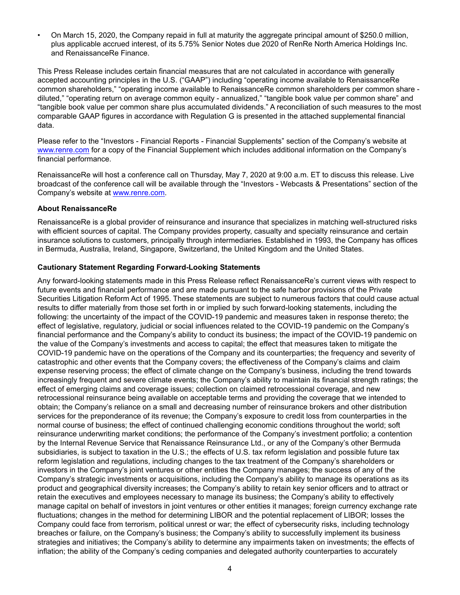• On March 15, 2020, the Company repaid in full at maturity the aggregate principal amount of \$250.0 million, plus applicable accrued interest, of its 5.75% Senior Notes due 2020 of RenRe North America Holdings Inc. and RenaissanceRe Finance.

This Press Release includes certain financial measures that are not calculated in accordance with generally accepted accounting principles in the U.S. ("GAAP") including "operating income available to RenaissanceRe common shareholders," "operating income available to RenaissanceRe common shareholders per common share diluted," "operating return on average common equity - annualized," "tangible book value per common share" and "tangible book value per common share plus accumulated dividends." A reconciliation of such measures to the most comparable GAAP figures in accordance with Regulation G is presented in the attached supplemental financial data.

Please refer to the "Investors - Financial Reports - Financial Supplements" section of the Company's website at www.renre.com for a copy of the Financial Supplement which includes additional information on the Company's financial performance.

RenaissanceRe will host a conference call on Thursday, May 7, 2020 at 9:00 a.m. ET to discuss this release. Live broadcast of the conference call will be available through the "Investors - Webcasts & Presentations" section of the Company's website at www.renre.com.

# **About RenaissanceRe**

RenaissanceRe is a global provider of reinsurance and insurance that specializes in matching well-structured risks with efficient sources of capital. The Company provides property, casualty and specialty reinsurance and certain insurance solutions to customers, principally through intermediaries. Established in 1993, the Company has offices in Bermuda, Australia, Ireland, Singapore, Switzerland, the United Kingdom and the United States.

# **Cautionary Statement Regarding Forward-Looking Statements**

Any forward-looking statements made in this Press Release reflect RenaissanceRe's current views with respect to future events and financial performance and are made pursuant to the safe harbor provisions of the Private Securities Litigation Reform Act of 1995. These statements are subject to numerous factors that could cause actual results to differ materially from those set forth in or implied by such forward-looking statements, including the following: the uncertainty of the impact of the COVID-19 pandemic and measures taken in response thereto; the effect of legislative, regulatory, judicial or social influences related to the COVID-19 pandemic on the Company's financial performance and the Company's ability to conduct its business; the impact of the COVID-19 pandemic on the value of the Company's investments and access to capital; the effect that measures taken to mitigate the COVID-19 pandemic have on the operations of the Company and its counterparties; the frequency and severity of catastrophic and other events that the Company covers; the effectiveness of the Company's claims and claim expense reserving process; the effect of climate change on the Company's business, including the trend towards increasingly frequent and severe climate events; the Company's ability to maintain its financial strength ratings; the effect of emerging claims and coverage issues; collection on claimed retrocessional coverage, and new retrocessional reinsurance being available on acceptable terms and providing the coverage that we intended to obtain; the Company's reliance on a small and decreasing number of reinsurance brokers and other distribution services for the preponderance of its revenue; the Company's exposure to credit loss from counterparties in the normal course of business; the effect of continued challenging economic conditions throughout the world; soft reinsurance underwriting market conditions; the performance of the Company's investment portfolio; a contention by the Internal Revenue Service that Renaissance Reinsurance Ltd., or any of the Company's other Bermuda subsidiaries, is subject to taxation in the U.S.; the effects of U.S. tax reform legislation and possible future tax reform legislation and regulations, including changes to the tax treatment of the Company's shareholders or investors in the Company's joint ventures or other entities the Company manages; the success of any of the Company's strategic investments or acquisitions, including the Company's ability to manage its operations as its product and geographical diversity increases; the Company's ability to retain key senior officers and to attract or retain the executives and employees necessary to manage its business; the Company's ability to effectively manage capital on behalf of investors in joint ventures or other entities it manages; foreign currency exchange rate fluctuations; changes in the method for determining LIBOR and the potential replacement of LIBOR; losses the Company could face from terrorism, political unrest or war; the effect of cybersecurity risks, including technology breaches or failure, on the Company's business; the Company's ability to successfully implement its business strategies and initiatives; the Company's ability to determine any impairments taken on investments; the effects of inflation; the ability of the Company's ceding companies and delegated authority counterparties to accurately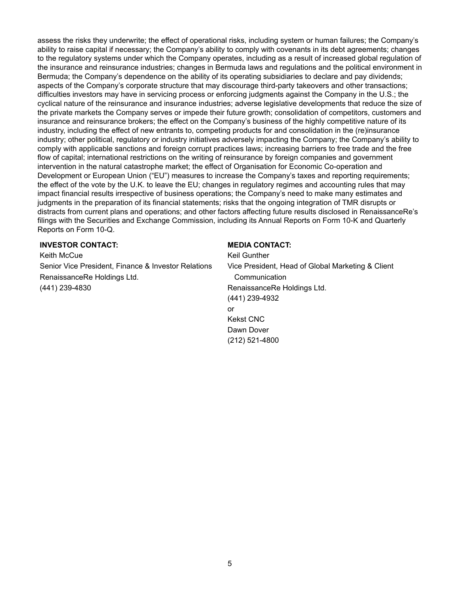assess the risks they underwrite; the effect of operational risks, including system or human failures; the Company's ability to raise capital if necessary; the Company's ability to comply with covenants in its debt agreements; changes to the regulatory systems under which the Company operates, including as a result of increased global regulation of the insurance and reinsurance industries; changes in Bermuda laws and regulations and the political environment in Bermuda; the Company's dependence on the ability of its operating subsidiaries to declare and pay dividends; aspects of the Company's corporate structure that may discourage third-party takeovers and other transactions; difficulties investors may have in servicing process or enforcing judgments against the Company in the U.S.; the cyclical nature of the reinsurance and insurance industries; adverse legislative developments that reduce the size of the private markets the Company serves or impede their future growth; consolidation of competitors, customers and insurance and reinsurance brokers; the effect on the Company's business of the highly competitive nature of its industry, including the effect of new entrants to, competing products for and consolidation in the (re)insurance industry; other political, regulatory or industry initiatives adversely impacting the Company; the Company's ability to comply with applicable sanctions and foreign corrupt practices laws; increasing barriers to free trade and the free flow of capital; international restrictions on the writing of reinsurance by foreign companies and government intervention in the natural catastrophe market; the effect of Organisation for Economic Co-operation and Development or European Union ("EU") measures to increase the Company's taxes and reporting requirements; the effect of the vote by the U.K. to leave the EU; changes in regulatory regimes and accounting rules that may impact financial results irrespective of business operations; the Company's need to make many estimates and judgments in the preparation of its financial statements; risks that the ongoing integration of TMR disrupts or distracts from current plans and operations; and other factors affecting future results disclosed in RenaissanceRe's filings with the Securities and Exchange Commission, including its Annual Reports on Form 10-K and Quarterly Reports on Form 10-Q.

#### **INVESTOR CONTACT: MEDIA CONTACT:**

Keith McCue **Keil Gunther** Senior Vice President, Finance & Investor Relations Vice President, Head of Global Marketing & Client RenaissanceRe Holdings Ltd. Communication (441) 239-4830 RenaissanceRe Holdings Ltd.

(441) 239-4932 or Kekst CNC Dawn Dover (212) 521-4800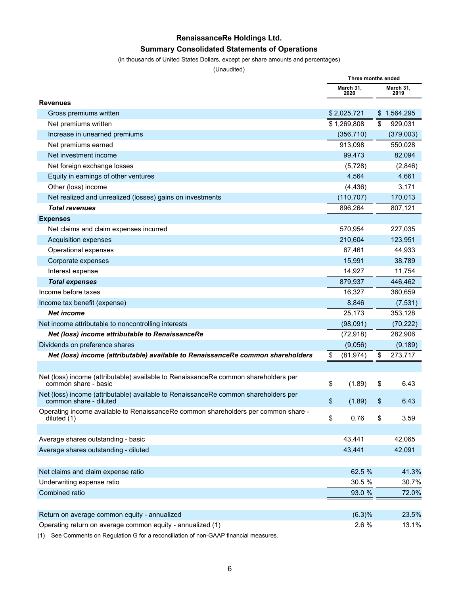# **RenaissanceRe Holdings Ltd.**

# **Summary Consolidated Statements of Operations**

(in thousands of United States Dollars, except per share amounts and percentages)

(Unaudited)

|                                                                                                               | Three months ended |                   |    |                   |  |  |
|---------------------------------------------------------------------------------------------------------------|--------------------|-------------------|----|-------------------|--|--|
|                                                                                                               |                    | March 31,<br>2020 |    | March 31,<br>2019 |  |  |
| <b>Revenues</b>                                                                                               |                    |                   |    |                   |  |  |
| Gross premiums written                                                                                        |                    | \$2,025,721       |    | \$1,564,295       |  |  |
| Net premiums written                                                                                          |                    | \$1,269,808       | \$ | 929,031           |  |  |
| Increase in unearned premiums                                                                                 |                    | (356, 710)        |    | (379,003)         |  |  |
| Net premiums earned                                                                                           |                    | 913,098           |    | 550,028           |  |  |
| Net investment income                                                                                         |                    | 99,473            |    | 82,094            |  |  |
| Net foreign exchange losses                                                                                   |                    | (5,728)           |    | (2,846)           |  |  |
| Equity in earnings of other ventures                                                                          |                    | 4,564             |    | 4,661             |  |  |
| Other (loss) income                                                                                           |                    | (4, 436)          |    | 3,171             |  |  |
| Net realized and unrealized (losses) gains on investments                                                     |                    | (110, 707)        |    | 170,013           |  |  |
| <b>Total revenues</b>                                                                                         |                    | 896,264           |    | 807,121           |  |  |
| <b>Expenses</b>                                                                                               |                    |                   |    |                   |  |  |
| Net claims and claim expenses incurred                                                                        |                    | 570,954           |    | 227,035           |  |  |
| Acquisition expenses                                                                                          |                    | 210,604           |    | 123,951           |  |  |
| Operational expenses                                                                                          |                    | 67,461            |    | 44,933            |  |  |
| Corporate expenses                                                                                            |                    | 15,991            |    | 38,789            |  |  |
| Interest expense                                                                                              |                    | 14,927            |    | 11,754            |  |  |
| <b>Total expenses</b>                                                                                         |                    | 879,937           |    | 446,462           |  |  |
| Income before taxes                                                                                           |                    | 16,327            |    | 360,659           |  |  |
| Income tax benefit (expense)                                                                                  |                    | 8,846             |    | (7, 531)          |  |  |
| <b>Net income</b>                                                                                             |                    | 25,173            |    | 353,128           |  |  |
| Net income attributable to noncontrolling interests                                                           |                    | (98,091)          |    | (70, 222)         |  |  |
| Net (loss) income attributable to RenaissanceRe                                                               |                    | (72, 918)         |    | 282,906           |  |  |
| Dividends on preference shares                                                                                |                    | (9,056)           |    | (9, 189)          |  |  |
| Net (loss) income (attributable) available to RenaissanceRe common shareholders                               | \$                 | (81, 974)         | \$ | 273,717           |  |  |
|                                                                                                               |                    |                   |    |                   |  |  |
| Net (loss) income (attributable) available to RenaissanceRe common shareholders per<br>common share - basic   | \$                 | (1.89)            | \$ | 6.43              |  |  |
| Net (loss) income (attributable) available to RenaissanceRe common shareholders per<br>common share - diluted | \$                 | (1.89)            | \$ | 6.43              |  |  |
| Operating income available to RenaissanceRe common shareholders per common share -<br>diluted $(1)$           | \$                 | 0.76              | \$ | 3.59              |  |  |
|                                                                                                               |                    |                   |    |                   |  |  |
| Average shares outstanding - basic                                                                            |                    | 43,441            |    | 42,065            |  |  |
| Average shares outstanding - diluted                                                                          |                    | 43,441            |    | 42,091            |  |  |
| Net claims and claim expense ratio                                                                            |                    | 62.5 %            |    | 41.3%             |  |  |
| Underwriting expense ratio                                                                                    |                    | 30.5 %            |    | 30.7%             |  |  |
| Combined ratio                                                                                                |                    | 93.0 %            |    | 72.0%             |  |  |
|                                                                                                               |                    |                   |    |                   |  |  |
| Return on average common equity - annualized                                                                  |                    | (6.3)%            |    | 23.5%             |  |  |
| Operating return on average common equity - annualized (1)                                                    |                    | 2.6 %             |    | 13.1%             |  |  |

(1) See Comments on Regulation G for a reconciliation of non-GAAP financial measures.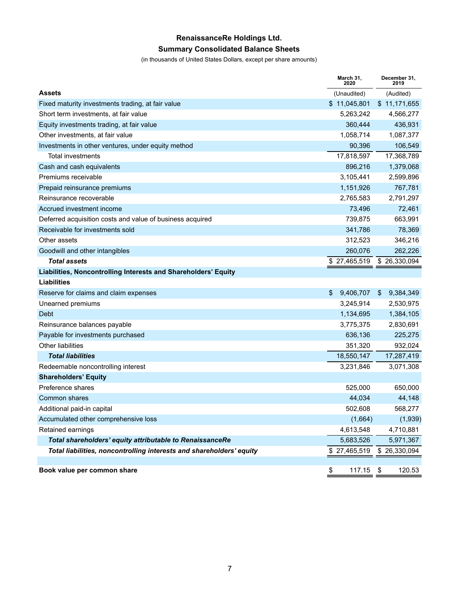# **RenaissanceRe Holdings Ltd.**

# **Summary Consolidated Balance Sheets**

(in thousands of United States Dollars, except per share amounts)

|                                                                      | March 31,<br>2020 | December 31,<br>2019 |
|----------------------------------------------------------------------|-------------------|----------------------|
| <b>Assets</b>                                                        | (Unaudited)       | (Audited)            |
| Fixed maturity investments trading, at fair value                    | \$11,045,801      | \$11,171,655         |
| Short term investments, at fair value                                | 5,263,242         | 4,566,277            |
| Equity investments trading, at fair value                            | 360,444           | 436,931              |
| Other investments, at fair value                                     | 1,058,714         | 1,087,377            |
| Investments in other ventures, under equity method                   | 90,396            | 106,549              |
| Total investments                                                    | 17,818,597        | 17,368,789           |
| Cash and cash equivalents                                            | 896,216           | 1,379,068            |
| Premiums receivable                                                  | 3,105,441         | 2,599,896            |
| Prepaid reinsurance premiums                                         | 1,151,926         | 767,781              |
| Reinsurance recoverable                                              | 2,765,583         | 2,791,297            |
| Accrued investment income                                            | 73,496            | 72,461               |
| Deferred acquisition costs and value of business acquired            | 739,875           | 663,991              |
| Receivable for investments sold                                      | 341,786           | 78,369               |
| Other assets                                                         | 312,523           | 346,216              |
| Goodwill and other intangibles                                       | 260,076           | 262,226              |
| <b>Total assets</b>                                                  | \$27,465,519      | \$26,330,094         |
| Liabilities, Noncontrolling Interests and Shareholders' Equity       |                   |                      |
| <b>Liabilities</b>                                                   |                   |                      |
| Reserve for claims and claim expenses                                | 9,406,707<br>\$   | \$<br>9,384,349      |
| Unearned premiums                                                    | 3,245,914         | 2,530,975            |
| <b>Debt</b>                                                          | 1,134,695         | 1,384,105            |
| Reinsurance balances payable                                         | 3,775,375         | 2,830,691            |
| Payable for investments purchased                                    | 636,136           | 225,275              |
| <b>Other liabilities</b>                                             | 351,320           | 932,024              |
| <b>Total liabilities</b>                                             | 18,550,147        | 17,287,419           |
| Redeemable noncontrolling interest                                   | 3,231,846         | 3,071,308            |
| <b>Shareholders' Equity</b>                                          |                   |                      |
| Preference shares                                                    | 525,000           | 650,000              |
| Common shares                                                        | 44,034            | 44,148               |
| Additional paid-in capital                                           | 502,608           | 568,277              |
| Accumulated other comprehensive loss                                 | (1,664)           | (1,939)              |
| Retained earnings                                                    | 4,613,548         | 4,710,881            |
| Total shareholders' equity attributable to RenaissanceRe             | 5,683,526         | 5,971,367            |
| Total liabilities, noncontrolling interests and shareholders' equity | \$27,465,519      | \$ 26,330,094        |
|                                                                      |                   |                      |
| Book value per common share                                          | \$<br>117.15      | 120.53<br>\$         |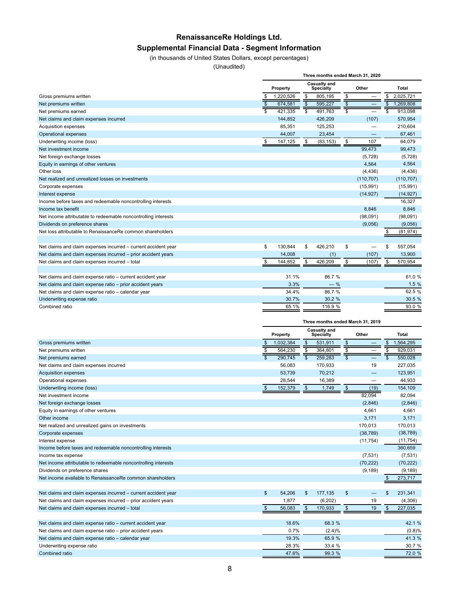# **RenaissanceRe Holdings Ltd.**

# **Supplemental Financial Data - Segment Information**

(in thousands of United States Dollars, except percentages)

(Unaudited)

|                                                                | Three months ended March 31, 2020 |           |                                  |           |                          |            |                         |            |  |
|----------------------------------------------------------------|-----------------------------------|-----------|----------------------------------|-----------|--------------------------|------------|-------------------------|------------|--|
|                                                                | Property                          |           | Casualty and<br><b>Specialty</b> |           | Other                    |            | <b>Total</b>            |            |  |
| Gross premiums written                                         | \$                                | 1.220.526 | \$                               | 805,195   | \$                       |            |                         | 2,025,721  |  |
| Net premiums written                                           | $\mathbf{\hat{s}}$                | 674,581   | $\mathbf{s}$                     | 595,227   | $\overline{\mathcal{S}}$ |            | $\mathsf{\$}$           | 1,269,808  |  |
| Net premiums earned                                            | $\overline{s}$                    | 421,335   |                                  | 491,763   | $\overline{\mathbb{s}}$  |            | $\overline{\mathsf{s}}$ | 913,098    |  |
| Net claims and claim expenses incurred                         |                                   | 144,852   |                                  | 426,209   |                          | (107)      |                         | 570,954    |  |
| Acquisition expenses                                           |                                   | 85,351    |                                  | 125,253   |                          |            |                         | 210,604    |  |
| Operational expenses                                           |                                   | 44,007    |                                  | 23,454    |                          |            |                         | 67,461     |  |
| Underwriting income (loss)                                     | \$                                | 147,125   | \$                               | (83, 153) | \$                       | 107        |                         | 64,079     |  |
| Net investment income                                          |                                   |           |                                  |           |                          | 99,473     |                         | 99,473     |  |
| Net foreign exchange losses                                    |                                   |           |                                  |           |                          | (5,728)    |                         | (5,728)    |  |
| Equity in earnings of other ventures                           |                                   |           |                                  |           |                          | 4,564      |                         | 4.564      |  |
| Other loss                                                     |                                   |           |                                  |           |                          | (4, 436)   |                         | (4, 436)   |  |
| Net realized and unrealized losses on investments              |                                   |           |                                  |           |                          | (110, 707) |                         | (110, 707) |  |
| Corporate expenses                                             |                                   |           |                                  |           |                          | (15,991)   |                         | (15,991)   |  |
| Interest expense                                               |                                   |           |                                  |           |                          | (14, 927)  |                         | (14, 927)  |  |
| Income before taxes and redeemable noncontrolling interests    |                                   |           |                                  |           |                          |            |                         | 16,327     |  |
| Income tax benefit                                             |                                   |           |                                  |           |                          | 8.846      |                         | 8,846      |  |
| Net income attributable to redeemable noncontrolling interests |                                   |           |                                  |           |                          | (98,091)   |                         | (98,091)   |  |
| Dividends on preference shares                                 |                                   |           |                                  |           |                          | (9,056)    |                         | (9,056)    |  |
| Net loss attributable to RenaissanceRe common shareholders     |                                   |           |                                  |           |                          |            | \$                      | (81, 974)  |  |
|                                                                |                                   |           |                                  |           |                          |            |                         |            |  |
| Net claims and claim expenses incurred - current accident year | \$                                | 130,844   | \$                               | 426,210   | \$                       |            | \$                      | 557,054    |  |
| Net claims and claim expenses incurred - prior accident years  |                                   | 14,008    |                                  | (1)       |                          | (107)      |                         | 13,900     |  |
| Net claims and claim expenses incurred - total                 | \$                                | 144,852   | \$                               | 426,209   | \$                       | (107)      | \$                      | 570,954    |  |
|                                                                |                                   |           |                                  |           |                          |            |                         |            |  |
| Net claims and claim expense ratio - current accident year     |                                   | 31.1%     |                                  | 86.7 %    |                          |            |                         | 61.0%      |  |
| Net claims and claim expense ratio - prior accident years      |                                   | 3.3%      |                                  | $-$ %     |                          |            |                         | 1.5%       |  |
| Net claims and claim expense ratio - calendar year             |                                   | 34.4%     |                                  | 86.7 %    |                          |            |                         | 62.5 %     |  |
| Underwriting expense ratio                                     |                                   | 30.7%     |                                  | 30.2 %    |                          |            |                         | 30.5 %     |  |
| Combined ratio                                                 |                                   | 65.1%     |                                  | 116.9 %   |                          |            |                         | 93.0 %     |  |
|                                                                |                                   |           |                                  |           |                          |            |                         |            |  |

|                                                                | Three months ended March 31, 2019 |           |                |                                  |                          |           |                 |           |  |
|----------------------------------------------------------------|-----------------------------------|-----------|----------------|----------------------------------|--------------------------|-----------|-----------------|-----------|--|
|                                                                |                                   | Property  |                | Casualty and<br><b>Specialty</b> | Other                    |           |                 | Total     |  |
| Gross premiums written                                         |                                   | 1,032,384 | $\sqrt[6]{3}$  | 531,911                          | \$                       |           | \$              | 1,564,295 |  |
| Net premiums written                                           | \$                                | 564,230   |                | 364,801                          | \$                       |           | $\overline{\$}$ | 929,031   |  |
| Net premiums earned                                            | $\frac{1}{s}$                     | 290,745   | $\mathfrak{S}$ | 259,283                          | $\overline{\mathcal{S}}$ |           | $\mathfrak{S}$  | 550,028   |  |
| Net claims and claim expenses incurred                         |                                   | 56,083    |                | 170,933                          |                          | 19        |                 | 227,035   |  |
| <b>Acquisition expenses</b>                                    |                                   | 53,739    |                | 70,212                           |                          |           |                 | 123,951   |  |
| Operational expenses                                           |                                   | 28,544    |                | 16,389                           |                          |           |                 | 44,933    |  |
| Underwriting income (loss)                                     | \$                                | 152,379   | $\frac{1}{2}$  | 1,749                            | \$                       | (19)      |                 | 154,109   |  |
| Net investment income                                          |                                   |           |                |                                  |                          | 82.094    |                 | 82,094    |  |
| Net foreign exchange losses                                    |                                   |           |                |                                  |                          | (2,846)   |                 | (2,846)   |  |
| Equity in earnings of other ventures                           |                                   |           |                |                                  |                          | 4,661     |                 | 4,661     |  |
| Other income                                                   |                                   |           |                |                                  |                          | 3,171     |                 | 3,171     |  |
| Net realized and unrealized gains on investments               |                                   |           |                |                                  |                          | 170,013   |                 | 170,013   |  |
| Corporate expenses                                             |                                   |           |                |                                  |                          | (38, 789) |                 | (38, 789) |  |
| Interest expense                                               |                                   |           |                |                                  |                          | (11, 754) |                 | (11, 754) |  |
| Income before taxes and redeemable noncontrolling interests    |                                   |           |                |                                  |                          |           |                 | 360,659   |  |
| Income tax expense                                             |                                   |           |                |                                  |                          | (7, 531)  |                 | (7,531)   |  |
| Net income attributable to redeemable noncontrolling interests |                                   |           |                |                                  |                          | (70, 222) |                 | (70, 222) |  |
| Dividends on preference shares                                 |                                   |           |                |                                  |                          | (9, 189)  |                 | (9, 189)  |  |
| Net income available to RenaissanceRe common shareholders      |                                   |           |                |                                  |                          |           | \$              | 273,717   |  |
|                                                                |                                   |           |                |                                  |                          |           |                 |           |  |
| Net claims and claim expenses incurred - current accident year | \$                                | 54,206    | $\sqrt[6]{3}$  | 177,135                          | \$                       |           | \$              | 231,341   |  |
| Net claims and claim expenses incurred - prior accident years  |                                   | 1,877     |                | (6, 202)                         |                          | 19        |                 | (4,306)   |  |
| Net claims and claim expenses incurred - total                 | \$                                | 56,083    | \$             | 170,933                          | \$                       | 19        | \$              | 227,035   |  |
|                                                                |                                   |           |                |                                  |                          |           |                 |           |  |
| Net claims and claim expense ratio - current accident year     |                                   | 18.6%     |                | 68.3 %                           |                          |           |                 | 42.1%     |  |
| Net claims and claim expense ratio - prior accident years      |                                   | 0.7%      |                | (2.4)%                           |                          |           |                 | (0.8)%    |  |
| Net claims and claim expense ratio - calendar year             |                                   | 19.3%     |                | 65.9 %                           |                          |           |                 | 41.3%     |  |
| Underwriting expense ratio                                     |                                   | 28.3%     |                | 33.4 %                           |                          |           |                 | 30.7 %    |  |
| Combined ratio                                                 |                                   | 47.6%     |                | 99.3 %                           |                          |           |                 | 72.0 %    |  |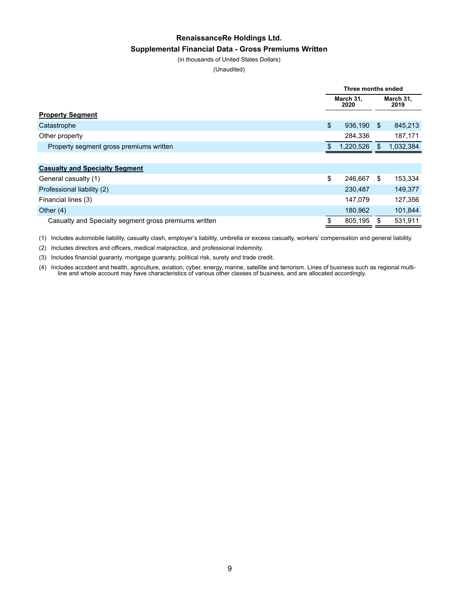# **RenaissanceRe Holdings Ltd. Supplemental Financial Data - Gross Premiums Written**

(in thousands of United States Dollars)

#### (Unaudited)

|                                                       | Three months ended |         |     |                   |
|-------------------------------------------------------|--------------------|---------|-----|-------------------|
|                                                       | March 31,<br>2020  |         |     | March 31,<br>2019 |
| <b>Property Segment</b>                               |                    |         |     |                   |
| Catastrophe                                           | \$                 | 936,190 | \$  | 845,213           |
| Other property                                        |                    | 284,336 |     | 187,171           |
| Property segment gross premiums written               | 1,220,526<br>\$    |         | \$. | 1,032,384         |
|                                                       |                    |         |     |                   |
| <b>Casualty and Specialty Segment</b>                 |                    |         |     |                   |
| General casualty (1)                                  | \$                 | 246.667 | \$  | 153,334           |
| Professional liability (2)                            |                    | 230,487 |     | 149,377           |
| Financial lines (3)                                   |                    | 147.079 |     | 127,356           |
| Other $(4)$                                           |                    | 180,962 |     | 101,844           |
| Casualty and Specialty segment gross premiums written | \$                 | 805,195 | \$  | 531,911           |

(1) Includes automobile liability, casualty clash, employer's liability, umbrella or excess casualty, workers' compensation and general liability.

(2) Includes directors and officers, medical malpractice, and professional indemnity.

(3) Includes financial guaranty, mortgage guaranty, political risk, surety and trade credit.

(4) Includes accident and health, agriculture, aviation, cyber, energy, marine, satellite and terrorism. Lines of business such as regional multiline and whole account may have characteristics of various other classes of business, and are allocated accordingly.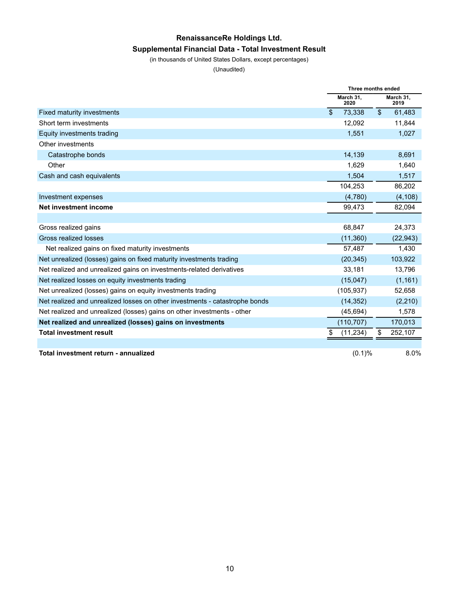# **RenaissanceRe Holdings Ltd. Supplemental Financial Data - Total Investment Result**

(in thousands of United States Dollars, except percentages)

(Unaudited)

|                                                                             | Three months ended |                   |    |                   |
|-----------------------------------------------------------------------------|--------------------|-------------------|----|-------------------|
|                                                                             |                    | March 31,<br>2020 |    | March 31,<br>2019 |
| Fixed maturity investments                                                  | $\mathfrak{L}$     | 73,338            | \$ | 61,483            |
| Short term investments                                                      |                    | 12.092            |    | 11.844            |
| Equity investments trading                                                  |                    | 1,551             |    | 1,027             |
| Other investments                                                           |                    |                   |    |                   |
| Catastrophe bonds                                                           |                    | 14,139            |    | 8,691             |
| Other                                                                       |                    | 1,629             |    | 1,640             |
| Cash and cash equivalents                                                   |                    | 1,504             |    | 1,517             |
|                                                                             |                    | 104,253           |    | 86,202            |
| Investment expenses                                                         |                    | (4,780)           |    | (4, 108)          |
| Net investment income                                                       |                    | 99,473            |    | 82,094            |
|                                                                             |                    |                   |    |                   |
| Gross realized gains                                                        |                    | 68,847            |    | 24,373            |
| Gross realized losses                                                       |                    | (11,360)          |    | (22, 943)         |
| Net realized gains on fixed maturity investments                            |                    | 57,487            |    | 1,430             |
| Net unrealized (losses) gains on fixed maturity investments trading         |                    | (20, 345)         |    | 103,922           |
| Net realized and unrealized gains on investments-related derivatives        |                    | 33,181            |    | 13,796            |
| Net realized losses on equity investments trading                           |                    | (15,047)          |    | (1, 161)          |
| Net unrealized (losses) gains on equity investments trading                 |                    | (105, 937)        |    | 52,658            |
| Net realized and unrealized losses on other investments - catastrophe bonds |                    | (14, 352)         |    | (2,210)           |
| Net realized and unrealized (losses) gains on other investments - other     |                    | (45, 694)         |    | 1,578             |
| Net realized and unrealized (losses) gains on investments                   |                    | (110, 707)        |    | 170,013           |
| <b>Total investment result</b>                                              | \$                 | (11, 234)         | \$ | 252,107           |
|                                                                             |                    |                   |    |                   |
| Total investment return - annualized                                        |                    | (0.1)%            |    | 8.0%              |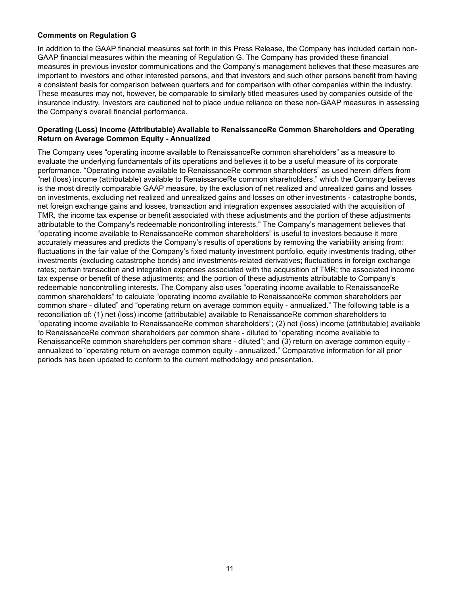# **Comments on Regulation G**

In addition to the GAAP financial measures set forth in this Press Release, the Company has included certain non-GAAP financial measures within the meaning of Regulation G. The Company has provided these financial measures in previous investor communications and the Company's management believes that these measures are important to investors and other interested persons, and that investors and such other persons benefit from having a consistent basis for comparison between quarters and for comparison with other companies within the industry. These measures may not, however, be comparable to similarly titled measures used by companies outside of the insurance industry. Investors are cautioned not to place undue reliance on these non-GAAP measures in assessing the Company's overall financial performance.

# **Operating (Loss) Income (Attributable) Available to RenaissanceRe Common Shareholders and Operating Return on Average Common Equity - Annualized**

The Company uses "operating income available to RenaissanceRe common shareholders" as a measure to evaluate the underlying fundamentals of its operations and believes it to be a useful measure of its corporate performance. "Operating income available to RenaissanceRe common shareholders" as used herein differs from "net (loss) income (attributable) available to RenaissanceRe common shareholders," which the Company believes is the most directly comparable GAAP measure, by the exclusion of net realized and unrealized gains and losses on investments, excluding net realized and unrealized gains and losses on other investments - catastrophe bonds, net foreign exchange gains and losses, transaction and integration expenses associated with the acquisition of TMR, the income tax expense or benefit associated with these adjustments and the portion of these adjustments attributable to the Company's redeemable noncontrolling interests." The Company's management believes that "operating income available to RenaissanceRe common shareholders" is useful to investors because it more accurately measures and predicts the Company's results of operations by removing the variability arising from: fluctuations in the fair value of the Company's fixed maturity investment portfolio, equity investments trading, other investments (excluding catastrophe bonds) and investments-related derivatives; fluctuations in foreign exchange rates; certain transaction and integration expenses associated with the acquisition of TMR; the associated income tax expense or benefit of these adjustments; and the portion of these adjustments attributable to Company's redeemable noncontrolling interests. The Company also uses "operating income available to RenaissanceRe common shareholders" to calculate "operating income available to RenaissanceRe common shareholders per common share - diluted" and "operating return on average common equity - annualized." The following table is a reconciliation of: (1) net (loss) income (attributable) available to RenaissanceRe common shareholders to "operating income available to RenaissanceRe common shareholders"; (2) net (loss) income (attributable) available to RenaissanceRe common shareholders per common share - diluted to "operating income available to RenaissanceRe common shareholders per common share - diluted"; and (3) return on average common equity annualized to "operating return on average common equity - annualized." Comparative information for all prior periods has been updated to conform to the current methodology and presentation.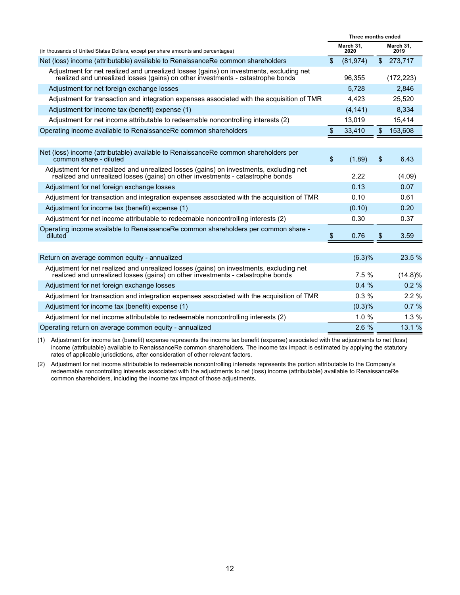|                                                                                                                                                                            |                |                   |                | Three months ended |  |  |  |
|----------------------------------------------------------------------------------------------------------------------------------------------------------------------------|----------------|-------------------|----------------|--------------------|--|--|--|
| (in thousands of United States Dollars, except per share amounts and percentages)                                                                                          |                | March 31.<br>2020 |                | March 31.<br>2019  |  |  |  |
| Net (loss) income (attributable) available to RenaissanceRe common shareholders                                                                                            | $\mathfrak{L}$ | (81, 974)         | $\mathfrak{L}$ | 273,717            |  |  |  |
| Adjustment for net realized and unrealized losses (gains) on investments, excluding net<br>realized and unrealized losses (gains) on other investments - catastrophe bonds |                | 96.355            |                | (172, 223)         |  |  |  |
| Adjustment for net foreign exchange losses                                                                                                                                 |                | 5,728             |                | 2,846              |  |  |  |
| Adjustment for transaction and integration expenses associated with the acquisition of TMR                                                                                 |                | 4,423             |                | 25.520             |  |  |  |
| Adjustment for income tax (benefit) expense (1)                                                                                                                            |                | (4, 141)          |                | 8,334              |  |  |  |
| Adjustment for net income attributable to redeemable noncontrolling interests (2)                                                                                          |                | 13,019            |                | 15,414             |  |  |  |
| Operating income available to RenaissanceRe common shareholders                                                                                                            | \$             | 33,410            | \$             | 153,608            |  |  |  |
|                                                                                                                                                                            |                |                   |                |                    |  |  |  |
| Net (loss) income (attributable) available to RenaissanceRe common shareholders per<br>common share - diluted                                                              | \$             | (1.89)            | \$             | 6.43               |  |  |  |
| Adjustment for net realized and unrealized losses (gains) on investments, excluding net<br>realized and unrealized losses (gains) on other investments - catastrophe bonds |                | 2.22              |                | (4.09)             |  |  |  |
| Adjustment for net foreign exchange losses                                                                                                                                 |                | 0.13              |                | 0.07               |  |  |  |
| Adjustment for transaction and integration expenses associated with the acquisition of TMR                                                                                 |                | 0.10              |                | 0.61               |  |  |  |
| Adjustment for income tax (benefit) expense (1)                                                                                                                            |                | (0.10)            |                | 0.20               |  |  |  |
| Adjustment for net income attributable to redeemable noncontrolling interests (2)                                                                                          |                | 0.30              |                | 0.37               |  |  |  |
| Operating income available to RenaissanceRe common shareholders per common share -<br>diluted                                                                              |                | 0.76              | \$             | 3.59               |  |  |  |
|                                                                                                                                                                            |                |                   |                |                    |  |  |  |
| Return on average common equity - annualized                                                                                                                               |                | (6.3)%            |                | 23.5 %             |  |  |  |
| Adjustment for net realized and unrealized losses (gains) on investments, excluding net<br>realized and unrealized losses (gains) on other investments - catastrophe bonds |                | 7.5%              |                | $(14.8)\%$         |  |  |  |
| Adjustment for net foreign exchange losses                                                                                                                                 |                | 0.4%              |                | $0.2 \%$           |  |  |  |
| Adjustment for transaction and integration expenses associated with the acquisition of TMR                                                                                 |                | 0.3%              |                | 2.2%               |  |  |  |
| Adjustment for income tax (benefit) expense (1)                                                                                                                            |                | (0.3)%            |                | 0.7%               |  |  |  |
| Adjustment for net income attributable to redeemable noncontrolling interests (2)                                                                                          |                | 1.0%              |                | 1.3%               |  |  |  |
| Operating return on average common equity - annualized                                                                                                                     |                | 2.6%              |                | 13.1 %             |  |  |  |

(1) Adjustment for income tax (benefit) expense represents the income tax benefit (expense) associated with the adjustments to net (loss) income (attributable) available to RenaissanceRe common shareholders. The income tax impact is estimated by applying the statutory rates of applicable jurisdictions, after consideration of other relevant factors.

(2) Adjustment for net income attributable to redeemable noncontrolling interests represents the portion attributable to the Company's redeemable noncontrolling interests associated with the adjustments to net (loss) income (attributable) available to RenaissanceRe common shareholders, including the income tax impact of those adjustments.